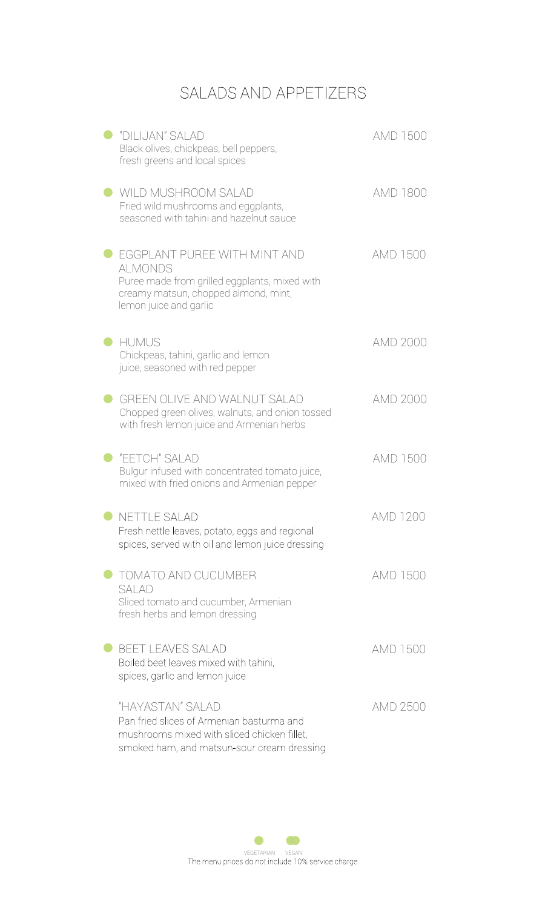## SALADS AND APPETIZERS

| "DILIJAN" SALAD<br>Black olives, chickpeas, bell peppers,<br>fresh greens and local spices                                                                        | AMD 1500        |
|-------------------------------------------------------------------------------------------------------------------------------------------------------------------|-----------------|
| WILD MUSHROOM SALAD<br>Fried wild mushrooms and eggplants,<br>seasoned with tahini and hazelnut sauce                                                             | AMD 1800        |
| EGGPLANT PUREE WITH MINT AND<br><b>ALMONDS</b><br>Puree made from grilled eggplants, mixed with<br>creamy matsun, chopped almond, mint,<br>lemon juice and garlic | AMD 1500        |
| <b>HUMUS</b><br>Chickpeas, tahini, garlic and lemon<br>juice, seasoned with red pepper                                                                            | AMD 2000        |
| <b>GREEN OLIVE AND WALNUT SALAD</b><br>Chopped green olives, walnuts, and onion tossed<br>with fresh lemon juice and Armenian herbs                               | <b>AMD 2000</b> |
| "EETCH" SALAD<br>Bulgur infused with concentrated tomato juice,<br>mixed with fried onions and Armenian pepper                                                    | AMD 1500        |
| <b>NETTLE SALAD</b><br>Fresh nettle leaves, potato, eggs and regional<br>spices, served with oil and lemon juice dressing                                         | <b>AMD 1200</b> |
| TOMATO AND CUCUMBER<br>SAI AD<br>Sliced tomato and cucumber, Armenian<br>fresh herbs and lemon dressing                                                           | AMD 1500        |
| <b>BEET LEAVES SALAD</b><br>Boiled beet leaves mixed with tahini,<br>spices, garlic and lemon juice                                                               | AMD 1500        |
| "HAYASTAN" SALAD<br>Pan fried slices of Armenian basturma and<br>mushrooms mixed with sliced chicken fillet,<br>smoked ham, and matsun-sour cream dressing        | AMD 2500        |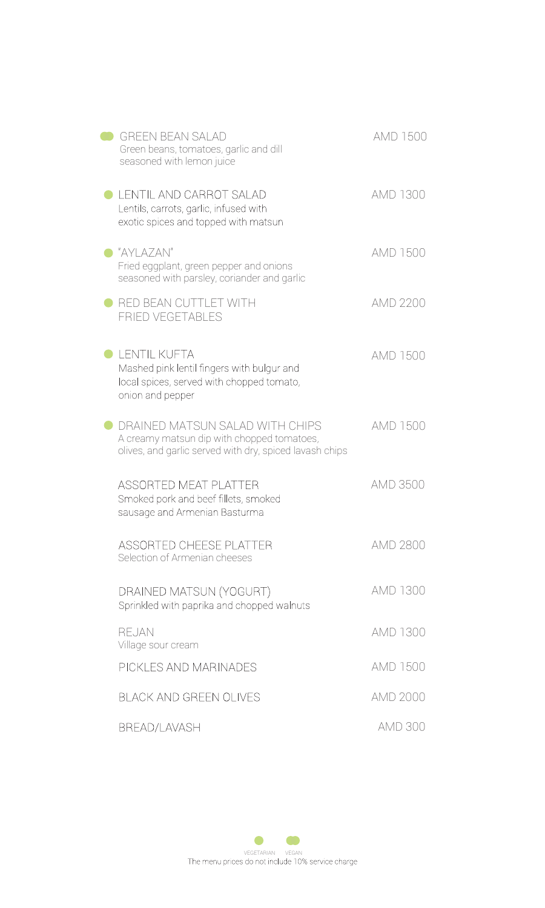| <b>GREEN BEAN SALAD</b><br>Green beans, tomatoes, garlic and dill<br>seasoned with lemon juice                                           | AMD 1500        |
|------------------------------------------------------------------------------------------------------------------------------------------|-----------------|
| LENTIL AND CARROT SALAD<br>Lentils, carrots, garlic, infused with<br>exotic spices and topped with matsun                                | AMD 1300        |
| "AYLAZAN"<br>Fried eggplant, green pepper and onions<br>seasoned with parsley, coriander and garlic                                      | AMD 1500        |
| RED BEAN CUTTLET WITH<br><b>FRIED VEGETABLES</b>                                                                                         | <b>AMD 2200</b> |
| LENTIL KUFTA<br>Mashed pink lentil fingers with bulgur and<br>local spices, served with chopped tomato,<br>onion and pepper              | AMD 1500        |
| DRAINED MATSUN SALAD WITH CHIPS<br>A creamy matsun dip with chopped tomatoes,<br>olives, and garlic served with dry, spiced lavash chips | AMD 1500        |
| <b>ASSORTED MEAT PLATTER</b><br>Smoked pork and beef fillets, smoked<br>sausage and Armenian Basturma                                    | AMD 3500        |
| <b>ASSORTED CHEESE PLATTER</b><br>Selection of Armenian cheeses                                                                          | AMD 2800        |
| DRAINED MATSUN (YOGURT)<br>Sprinkled with paprika and chopped walnuts                                                                    | AMD 1300        |
| <b>REJAN</b><br>Village sour cream                                                                                                       | AMD 1300        |
| PICKLES AND MARINADES                                                                                                                    | AMD 1500        |
| <b>BLACK AND GREEN OLIVES</b>                                                                                                            | <b>AMD 2000</b> |
| <b>BREAD/LAVASH</b>                                                                                                                      | <b>AMD 300</b>  |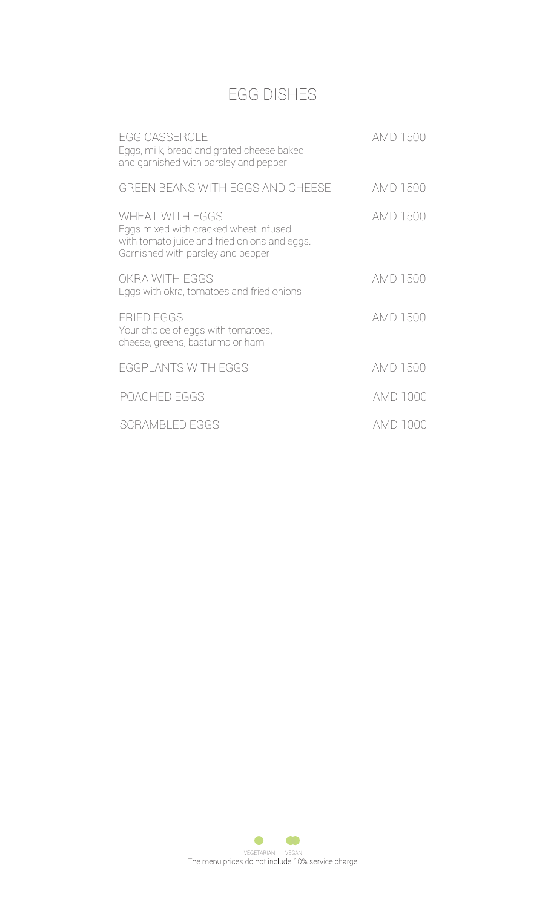# EGG DISHES

| <b>EGG CASSEROLE</b><br>Eggs, milk, bread and grated cheese baked<br>and garnished with parsley and pepper                                           | AMD 1500 |
|------------------------------------------------------------------------------------------------------------------------------------------------------|----------|
| GREEN BEANS WITH EGGS AND CHEESE                                                                                                                     | AMD 1500 |
| <b>WHEAT WITH EGGS</b><br>Eggs mixed with cracked wheat infused<br>with tomato juice and fried onions and eggs.<br>Garnished with parsley and pepper | AMD 1500 |
| OKRA WITH EGGS<br>Eggs with okra, tomatoes and fried onions                                                                                          | AMD 1500 |
| <b>FRIED EGGS</b><br>Your choice of eggs with tomatoes,<br>cheese, greens, basturma or ham                                                           | AMD 1500 |
| EGGPLANTS WITH EGGS                                                                                                                                  | AMD 1500 |
| POACHED EGGS                                                                                                                                         | AMD 1000 |
| <b>SCRAMBLED EGGS</b>                                                                                                                                | AMD 1000 |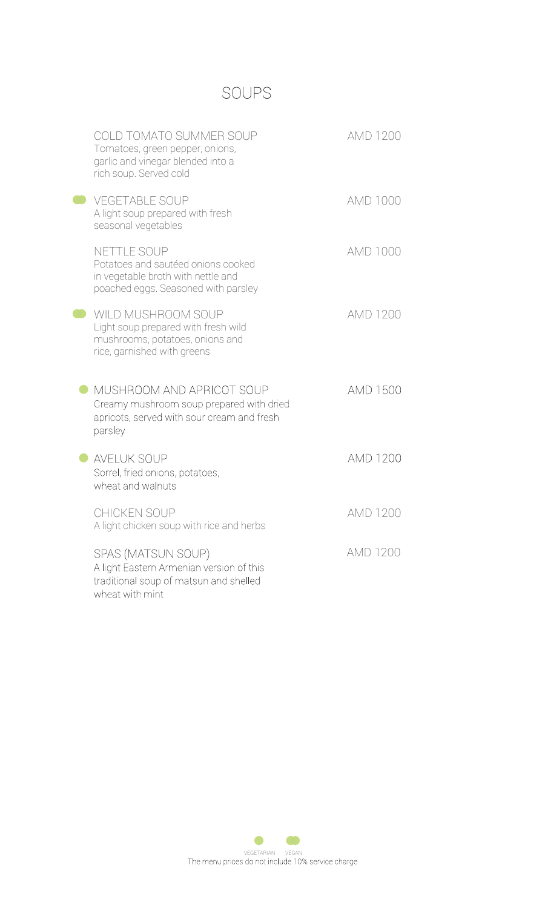### SOUPS

| <b>COLD TOMATO SUMMER SOUP</b><br>Tomatoes, green pepper, onions,<br>garlic and vinegar blended into a<br>rich soup. Served cold | <b>AMD 1200</b> |
|----------------------------------------------------------------------------------------------------------------------------------|-----------------|
| <b>VEGETABLE SOUP</b><br>A light soup prepared with fresh<br>seasonal vegetables                                                 | AMD 1000        |
| NETTLE SOUP<br>Potatoes and sautéed onions cooked<br>in vegetable broth with nettle and<br>poached eggs. Seasoned with parsley   | <b>AMD 1000</b> |
| WILD MUSHROOM SOUP<br>Light soup prepared with fresh wild<br>mushrooms, potatoes, onions and<br>rice, garnished with greens      | <b>AMD 1200</b> |
| MUSHROOM AND APRICOT SOUP<br>Creamy mushroom soup prepared with dried<br>apricots, served with sour cream and fresh<br>parsley   | AMD 1500        |
| <b>AVELUK SOUP</b><br>Sorrel, fried onions, potatoes,<br>wheat and walnuts                                                       | <b>AMD 1200</b> |
| CHICKEN SOUP<br>A light chicken soup with rice and herbs                                                                         | AMD 1200        |
| SPAS (MATSUN SOUP)<br>A light Eastern Armenian version of this<br>traditional soup of matsun and shelled<br>wheat with mint      | <b>AMD 1200</b> |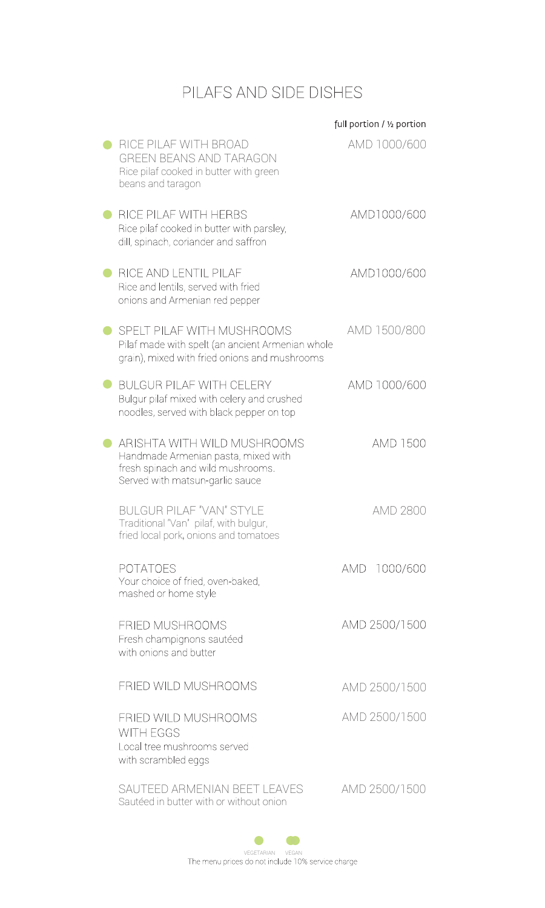## PILAFS AND SIDE DISHES

|                                                                                                                                            |     | full portion / 1/2 portion |
|--------------------------------------------------------------------------------------------------------------------------------------------|-----|----------------------------|
| RICE PILAF WITH BROAD<br><b>GREEN BEANS AND TARAGON</b><br>Rice pilaf cooked in butter with green<br>beans and taragon                     |     | AMD 1000/600               |
| RICE PILAF WITH HERBS<br>Rice pilaf cooked in butter with parsley,<br>dill, spinach, coriander and saffron                                 |     | AMD1000/600                |
| RICE AND LENTIL PILAF<br>Rice and lentils, served with fried<br>onions and Armenian red pepper                                             |     | AMD1000/600                |
| SPELT PILAF WITH MUSHROOMS<br>Pilaf made with spelt (an ancient Armenian whole<br>grain), mixed with fried onions and mushrooms            |     | AMD 1500/800               |
| <b>BULGUR PILAF WITH CELERY</b><br>Bulgur pilaf mixed with celery and crushed<br>noodles, served with black pepper on top                  |     | AMD 1000/600               |
| ARISHTA WITH WILD MUSHROOMS<br>Handmade Armenian pasta, mixed with<br>fresh spinach and wild mushrooms.<br>Served with matsun-garlic sauce |     | <b>AMD 1500</b>            |
| <b>BULGUR PILAF "VAN" STYI F</b><br>Traditional "Van" pilaf, with bulgur,<br>fried local pork, onions and tomatoes                         |     | AMD 2800                   |
| <b>POTATOES</b><br>Your choice of fried, oven-baked,<br>mashed or home style                                                               | amd | 1000/600                   |
| FRIED MUSHROOMS<br>Fresh champignons sautéed<br>with onions and butter                                                                     |     | AMD 2500/1500              |
| FRIED WILD MUSHROOMS                                                                                                                       |     | AMD 2500/1500              |
| FRIED WILD MUSHROOMS<br><b>WITH EGGS</b><br>Local tree mushrooms served<br>with scrambled eggs                                             |     | AMD 2500/1500              |
| SAUTEED ARMENIAN BEET LEAVES<br>Sautéed in butter with or without onion                                                                    |     | AMD 2500/1500              |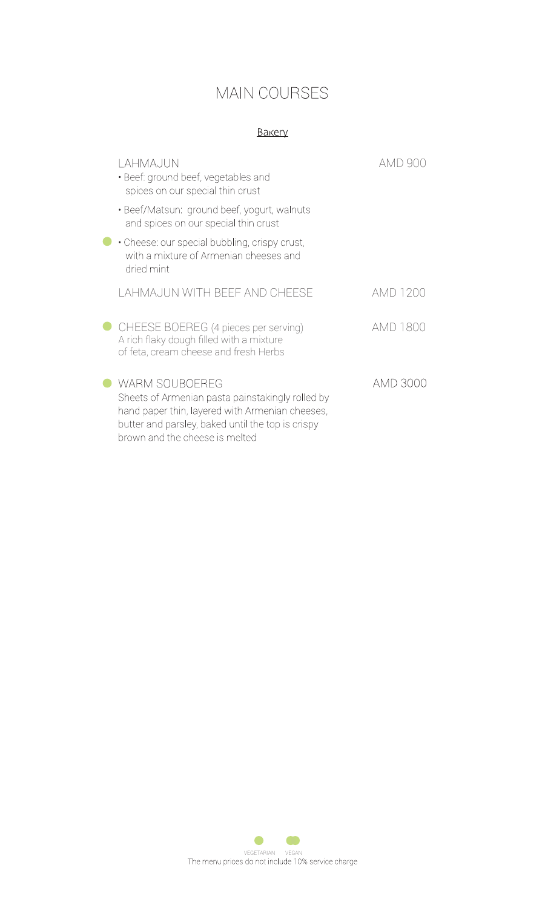### MAIN COURSES

#### **Bakery**

| lahmajun<br>• Beef: ground beef, vegetables and<br>spices on our special thin crust                                                                                                                                 | amd 90   |
|---------------------------------------------------------------------------------------------------------------------------------------------------------------------------------------------------------------------|----------|
| • Beef/Matsun: ground beef, yogurt, walnuts<br>and spices on our special thin crust                                                                                                                                 |          |
| • Cheese: our special bubbling, crispy crust,<br>with a mixture of Armenian cheeses and<br>dried mint                                                                                                               |          |
| LAHMAJUN WITH BEEF AND CHEESE                                                                                                                                                                                       | AMD 1200 |
| CHEESE BOEREG (4 pieces per serving)<br>A rich flaky dough filled with a mixture<br>of feta, cream cheese and fresh Herbs                                                                                           | AMD 1800 |
| <b>WARM SOUBOEREG</b><br>Sheets of Armenian pasta painstakingly rolled by<br>hand paper thin, layered with Armenian cheeses,<br>butter and parsley, baked until the top is crispy<br>brown and the cheese is melted | AMD 3000 |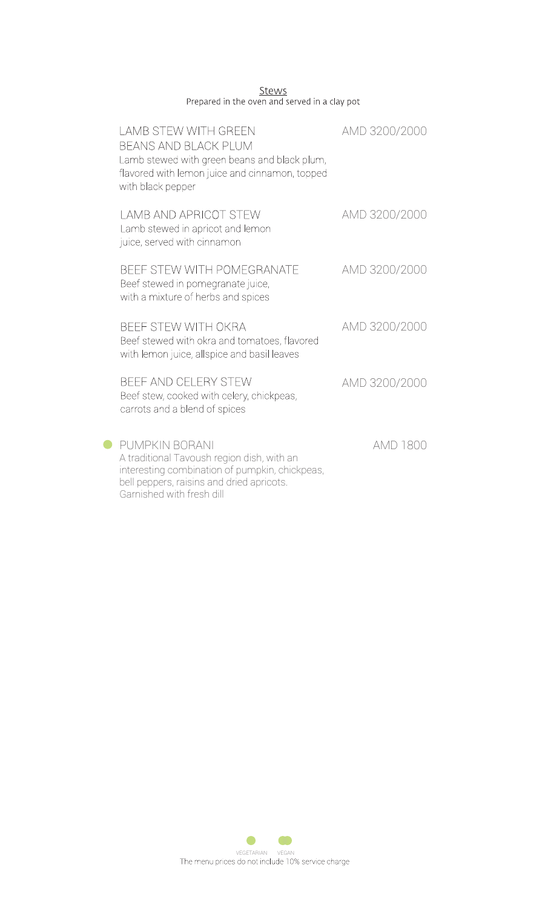|                                               |  | Stews |  |  |
|-----------------------------------------------|--|-------|--|--|
| Prepared in the oven and served in a clay pot |  |       |  |  |

| <b>LAMB STEW WITH GREEN</b><br>BEANS AND BLACK PLUM<br>Lamb stewed with green beans and black plum,<br>flavored with lemon juice and cinnamon, topped<br>with black pepper               | AMD 3200/2000 |
|------------------------------------------------------------------------------------------------------------------------------------------------------------------------------------------|---------------|
| <b>LAMB AND APRICOT STEW</b><br>Lamb stewed in apricot and lemon<br>juice, served with cinnamon                                                                                          | AMD 3200/2000 |
| BEEF STEW WITH POMEGRANATE<br>Beef stewed in pomegranate juice,<br>with a mixture of herbs and spices                                                                                    | AMD 3200/2000 |
| BEEF STEW WITH OKRA<br>Beef stewed with okra and tomatoes, flavored<br>with lemon juice, allspice and basil leaves                                                                       | AMD 3200/2000 |
| BEEF AND CELERY STEW<br>Beef stew, cooked with celery, chickpeas,<br>carrots and a blend of spices                                                                                       | AMD 3200/2000 |
| PUMPKIN BORANI<br>A traditional Tavoush region dish, with an<br>interesting combination of pumpkin, chickpeas,<br>bell peppers, raisins and dried apricots.<br>Garnished with fresh dill | AMD 1800      |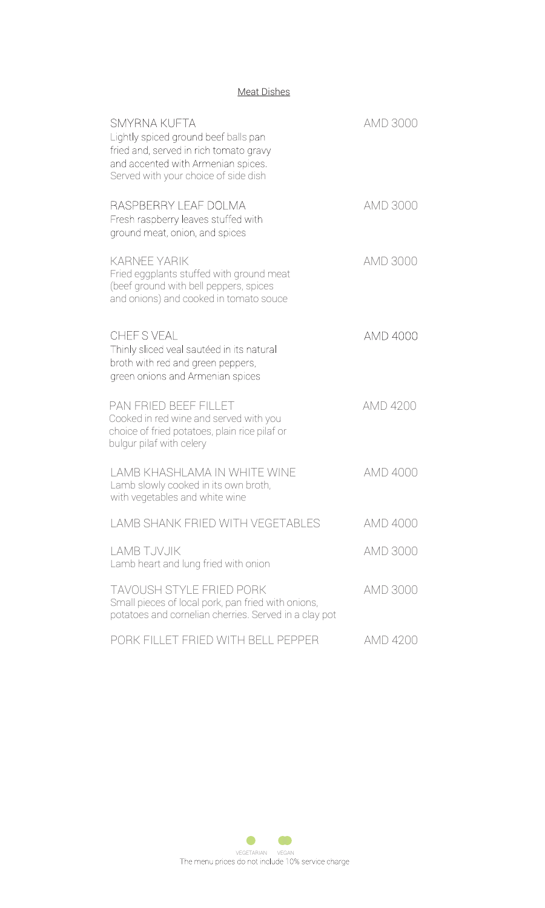### Meat Dishes

| <b>SMYRNA KUFTA</b><br>Lightly spiced ground beef balls pan<br>fried and, served in rich tomato gravy<br>and accented with Armenian spices.<br>Served with your choice of side dish | <b>AMD 3000</b> |
|-------------------------------------------------------------------------------------------------------------------------------------------------------------------------------------|-----------------|
| RASPBERRY LEAF DOLMA<br>Fresh raspberry leaves stuffed with<br>ground meat, onion, and spices                                                                                       | AMD 3000        |
| <b>KARNEE YARIK</b><br>Fried eggplants stuffed with ground meat<br>(beef ground with bell peppers, spices<br>and onions) and cooked in tomato souce                                 | AMD 3000        |
| CHEFS VEAL<br>Thinly sliced veal sautéed in its natural<br>broth with red and green peppers,<br>green onions and Armenian spices                                                    | AMD 4000        |
| PAN FRIED BEEF FILLET<br>Cooked in red wine and served with you<br>choice of fried potatoes, plain rice pilaf or<br>bulgur pilaf with celery                                        | AMD 4200        |
| LAMB KHASHLAMA IN WHITE WINF<br>Lamb slowly cooked in its own broth,<br>with vegetables and white wine                                                                              | AMD 4000        |
| LAMB SHANK FRIED WITH VEGETABLES                                                                                                                                                    | AMD 4000        |
| <b>LAMB TJVJIK</b><br>Lamb heart and lung fried with onion                                                                                                                          | AMD 3000        |
| <b>TAVOUSH STYLE FRIED PORK</b><br>Small pieces of local pork, pan fried with onions,<br>potatoes and cornelian cherries. Served in a clay pot                                      | AMD 3000        |
| PORK FILLET FRIED WITH BELL PEPPER                                                                                                                                                  | AMD 4200        |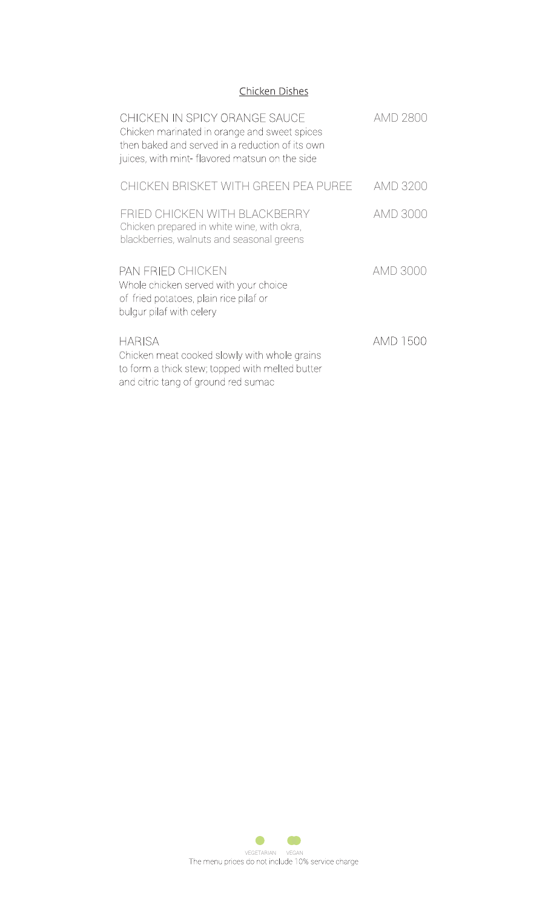### Chicken Dishes

| CHICKEN IN SPICY ORANGE SAUCE<br>Chicken marinated in orange and sweet spices<br>then baked and served in a reduction of its own<br>juices, with mint-flavored matsun on the side | AMD 2800        |
|-----------------------------------------------------------------------------------------------------------------------------------------------------------------------------------|-----------------|
| CHICKEN BRISKET WITH GREEN PEA PURFE                                                                                                                                              | AMD 3200        |
| FRIED CHICKEN WITH BLACKBERRY<br>Chicken prepared in white wine, with okra,<br>blackberries, walnuts and seasonal greens                                                          | AMD 3000        |
| PAN FRIED CHICKEN<br>Whole chicken served with your choice<br>of fried potatoes, plain rice pilaf or<br>bulgur pilaf with celery                                                  | <b>AMD 3000</b> |
| HARISA<br>Chicken meat cooked slowly with whole grains<br>to form a thick stew; topped with melted butter<br>and citric tang of ground red sumac                                  | AMD 1500        |

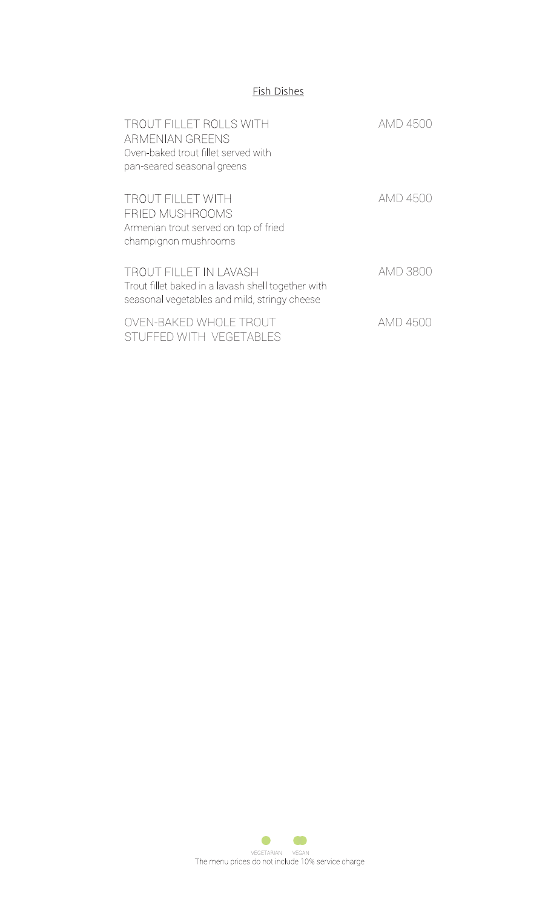### **Fish Dishes**

| <b>TROUT FILLET ROLLS WITH</b><br>ARMENIAN GREENS<br>Oven-baked trout fillet served with<br>pan-seared seasonal greens       | AMD 4500        |
|------------------------------------------------------------------------------------------------------------------------------|-----------------|
| <b>TROUT FILLET WITH</b><br>FRIED MUSHROOMS<br>Armenian trout served on top of fried<br>champignon mushrooms                 | <b>AMD 4500</b> |
| TROUT FILLET IN LAVASH<br>Trout fillet baked in a lavash shell together with<br>seasonal vegetables and mild, stringy cheese | AMD 3800        |
| OVEN-BAKED WHOLE TROUT<br>STUFFED WITH VEGETABLES                                                                            | AMD 4500        |

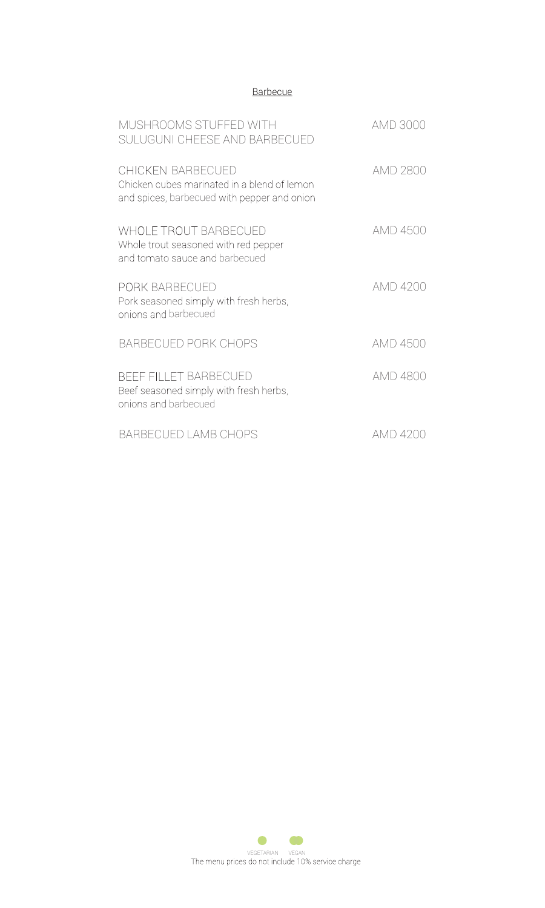### **Barbecue**

| MUSHROOMS STUFFED WITH<br>SULUGUNI CHEESE AND BARBECUED                                                                | AMD 3000 |
|------------------------------------------------------------------------------------------------------------------------|----------|
| <b>CHICKEN BARBECUED</b><br>Chicken cubes marinated in a blend of lemon<br>and spices, barbecued with pepper and onion | AMD 2800 |
| <b>WHOLE TROUT BARBECUED</b><br>Whole trout seasoned with red pepper<br>and tomato sauce and barbecued                 | AMD 4500 |
| PORK BARBECUED<br>Pork seasoned simply with fresh herbs,<br>onions and barbecued                                       | AMD 4200 |
| <b>BARBECUED PORK CHOPS</b>                                                                                            | AMD 4500 |
| <b>BEEF FILLET BARBECUED</b><br>Beef seasoned simply with fresh herbs,<br>onions and barbecued                         | AMD 4800 |
| BARBECUED LAMB CHOPS                                                                                                   | AMD 4200 |